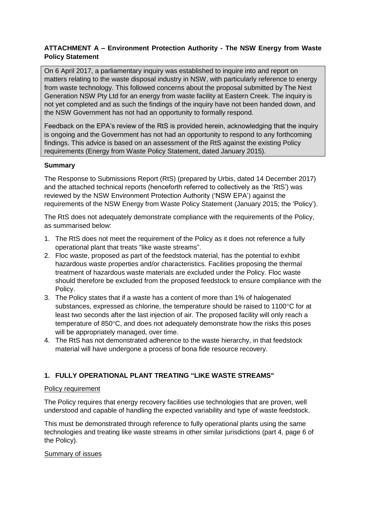# **ATTACHMENT A – Environment Protection Authority - The NSW Energy from Waste Policy Statement**

On 6 April 2017, a parliamentary inquiry was established to inquire into and report on matters relating to the waste disposal industry in NSW, with particularly reference to energy from waste technology. This followed concerns about the proposal submitted by The Next Generation NSW Pty Ltd for an energy from waste facility at Eastern Creek. The inquiry is not yet completed and as such the findings of the inquiry have not been handed down, and the NSW Government has not had an opportunity to formally respond.

Feedback on the EPA's review of the RtS is provided herein, acknowledging that the inquiry is ongoing and the Government has not had an opportunity to respond to any forthcoming findings. This advice is based on an assessment of the RtS against the existing Policy requirements (Energy from Waste Policy Statement, dated January 2015).

# **Summary**

The Response to Submissions Report (RtS) (prepared by Urbis, dated 14 December 2017) and the attached technical reports (henceforth referred to collectively as the 'RtS') was reviewed by the NSW Environment Protection Authority ('NSW EPA') against the requirements of the NSW Energy from Waste Policy Statement (January 2015; the 'Policy').

The RtS does not adequately demonstrate compliance with the requirements of the Policy, as summarised below:

- 1. The RtS does not meet the requirement of the Policy as it does not reference a fully operational plant that treats "like waste streams".
- 2. Floc waste, proposed as part of the feedstock material, has the potential to exhibit hazardous waste properties and/or characteristics. Facilities proposing the thermal treatment of hazardous waste materials are excluded under the Policy. Floc waste should therefore be excluded from the proposed feedstock to ensure compliance with the Policy.
- 3. The Policy states that if a waste has a content of more than 1% of halogenated substances, expressed as chlorine, the temperature should be raised to  $1100^{\circ}$ C for at least two seconds after the last injection of air. The proposed facility will only reach a temperature of  $850^{\circ}$ C, and does not adequately demonstrate how the risks this poses will be appropriately managed, over time.
- 4. The RtS has not demonstrated adherence to the waste hierarchy, in that feedstock material will have undergone a process of bona fide resource recovery.

# **1. FULLY OPERATIONAL PLANT TREATING "LIKE WASTE STREAMS"**

### Policy requirement

The Policy requires that energy recovery facilities use technologies that are proven, well understood and capable of handling the expected variability and type of waste feedstock.

This must be demonstrated through reference to fully operational plants using the same technologies and treating like waste streams in other similar jurisdictions (part 4, page 6 of the Policy).

### Summary of issues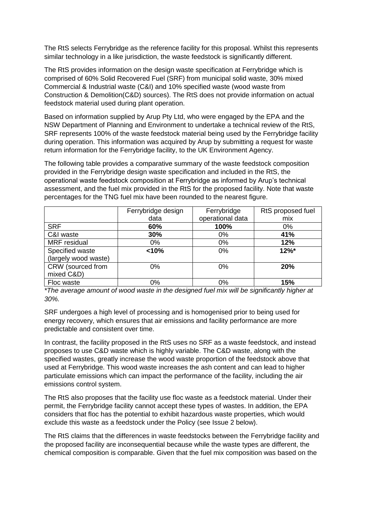The RtS selects Ferrybridge as the reference facility for this proposal. Whilst this represents similar technology in a like jurisdiction, the waste feedstock is significantly different.

The RtS provides information on the design waste specification at Ferrybridge which is comprised of 60% Solid Recovered Fuel (SRF) from municipal solid waste, 30% mixed Commercial & Industrial waste (C&I) and 10% specified waste (wood waste from Construction & Demolition(C&D) sources). The RtS does not provide information on actual feedstock material used during plant operation.

Based on information supplied by Arup Pty Ltd, who were engaged by the EPA and the NSW Department of Planning and Environment to undertake a technical review of the RtS, SRF represents 100% of the waste feedstock material being used by the Ferrybridge facility during operation. This information was acquired by Arup by submitting a request for waste return information for the Ferrybridge facility, to the UK Environment Agency.

The following table provides a comparative summary of the waste feedstock composition provided in the Ferrybridge design waste specification and included in the RtS, the operational waste feedstock composition at Ferrybridge as informed by Arup's technical assessment, and the fuel mix provided in the RtS for the proposed facility. Note that waste percentages for the TNG fuel mix have been rounded to the nearest figure.

|                      | Ferrybridge design | Ferrybridge      | RtS proposed fuel |
|----------------------|--------------------|------------------|-------------------|
|                      | data               | operational data | mix               |
| <b>SRF</b>           | 60%                | 100%             | $0\%$             |
| C&I waste            | 30%                | $0\%$            | 41%               |
| <b>MRF</b> residual  | 0%                 | 0%               | 12%               |
| Specified waste      | < 10%              | 0%               | $12\%$ *          |
| (largely wood waste) |                    |                  |                   |
| CRW (sourced from    | $0\%$              | $0\%$            | <b>20%</b>        |
| mixed C&D)           |                    |                  |                   |
| Floc waste           | 0%                 | 0%               | 15%               |

*\*The average amount of wood waste in the designed fuel mix will be significantly higher at 30%.* 

SRF undergoes a high level of processing and is homogenised prior to being used for energy recovery, which ensures that air emissions and facility performance are more predictable and consistent over time.

In contrast, the facility proposed in the RtS uses no SRF as a waste feedstock, and instead proposes to use C&D waste which is highly variable. The C&D waste, along with the specified wastes, greatly increase the wood waste proportion of the feedstock above that used at Ferrybridge. This wood waste increases the ash content and can lead to higher particulate emissions which can impact the performance of the facility, including the air emissions control system.

The RtS also proposes that the facility use floc waste as a feedstock material. Under their permit, the Ferrybridge facility cannot accept these types of wastes. In addition, the EPA considers that floc has the potential to exhibit hazardous waste properties, which would exclude this waste as a feedstock under the Policy (see Issue 2 below).

The RtS claims that the differences in waste feedstocks between the Ferrybridge facility and the proposed facility are inconsequential because while the waste types are different, the chemical composition is comparable. Given that the fuel mix composition was based on the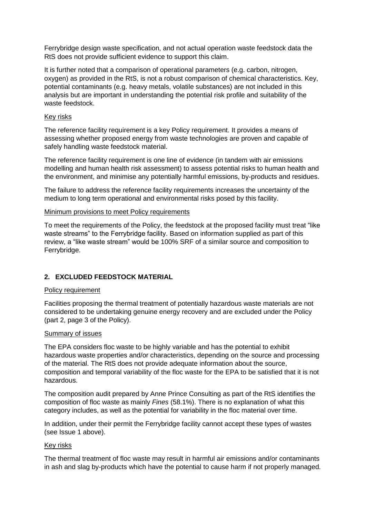Ferrybridge design waste specification, and not actual operation waste feedstock data the RtS does not provide sufficient evidence to support this claim.

It is further noted that a comparison of operational parameters (e.g. carbon, nitrogen, oxygen) as provided in the RtS, is not a robust comparison of chemical characteristics. Key, potential contaminants (e.g. heavy metals, volatile substances) are not included in this analysis but are important in understanding the potential risk profile and suitability of the waste feedstock.

#### Key risks

The reference facility requirement is a key Policy requirement. It provides a means of assessing whether proposed energy from waste technologies are proven and capable of safely handling waste feedstock material.

The reference facility requirement is one line of evidence (in tandem with air emissions modelling and human health risk assessment) to assess potential risks to human health and the environment, and minimise any potentially harmful emissions, by-products and residues.

The failure to address the reference facility requirements increases the uncertainty of the medium to long term operational and environmental risks posed by this facility.

#### Minimum provisions to meet Policy requirements

To meet the requirements of the Policy, the feedstock at the proposed facility must treat "like waste streams" to the Ferrybridge facility. Based on information supplied as part of this review, a "like waste stream" would be 100% SRF of a similar source and composition to Ferrybridge.

### **2. EXCLUDED FEEDSTOCK MATERIAL**

### Policy requirement

Facilities proposing the thermal treatment of potentially hazardous waste materials are not considered to be undertaking genuine energy recovery and are excluded under the Policy (part 2, page 3 of the Policy).

### Summary of issues

The EPA considers floc waste to be highly variable and has the potential to exhibit hazardous waste properties and/or characteristics, depending on the source and processing of the material. The RtS does not provide adequate information about the source, composition and temporal variability of the floc waste for the EPA to be satisfied that it is not hazardous.

The composition audit prepared by Anne Prince Consulting as part of the RtS identifies the composition of floc waste as mainly *Fines* (58.1%). There is no explanation of what this category includes, as well as the potential for variability in the floc material over time.

In addition, under their permit the Ferrybridge facility cannot accept these types of wastes (see Issue 1 above).

#### Key risks

The thermal treatment of floc waste may result in harmful air emissions and/or contaminants in ash and slag by-products which have the potential to cause harm if not properly managed.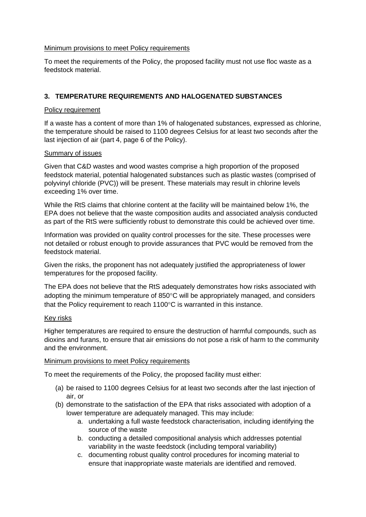#### Minimum provisions to meet Policy requirements

To meet the requirements of the Policy, the proposed facility must not use floc waste as a feedstock material.

# **3. TEMPERATURE REQUIREMENTS AND HALOGENATED SUBSTANCES**

### Policy requirement

If a waste has a content of more than 1% of halogenated substances, expressed as chlorine, the temperature should be raised to 1100 degrees Celsius for at least two seconds after the last injection of air (part 4, page 6 of the Policy).

### Summary of issues

Given that C&D wastes and wood wastes comprise a high proportion of the proposed feedstock material, potential halogenated substances such as plastic wastes (comprised of polyvinyl chloride (PVC)) will be present. These materials may result in chlorine levels exceeding 1% over time.

While the RtS claims that chlorine content at the facility will be maintained below 1%, the EPA does not believe that the waste composition audits and associated analysis conducted as part of the RtS were sufficiently robust to demonstrate this could be achieved over time.

Information was provided on quality control processes for the site. These processes were not detailed or robust enough to provide assurances that PVC would be removed from the feedstock material.

Given the risks, the proponent has not adequately justified the appropriateness of lower temperatures for the proposed facility.

The EPA does not believe that the RtS adequately demonstrates how risks associated with adopting the minimum temperature of  $850^{\circ}$ C will be appropriately managed, and considers that the Policy requirement to reach 1100 $\degree$ C is warranted in this instance.

### Key risks

Higher temperatures are required to ensure the destruction of harmful compounds, such as dioxins and furans, to ensure that air emissions do not pose a risk of harm to the community and the environment.

#### Minimum provisions to meet Policy requirements

To meet the requirements of the Policy, the proposed facility must either:

- (a) be raised to 1100 degrees Celsius for at least two seconds after the last injection of air, or
- (b) demonstrate to the satisfaction of the EPA that risks associated with adoption of a lower temperature are adequately managed. This may include:
	- a. undertaking a full waste feedstock characterisation, including identifying the source of the waste
	- b. conducting a detailed compositional analysis which addresses potential variability in the waste feedstock (including temporal variability)
	- c. documenting robust quality control procedures for incoming material to ensure that inappropriate waste materials are identified and removed.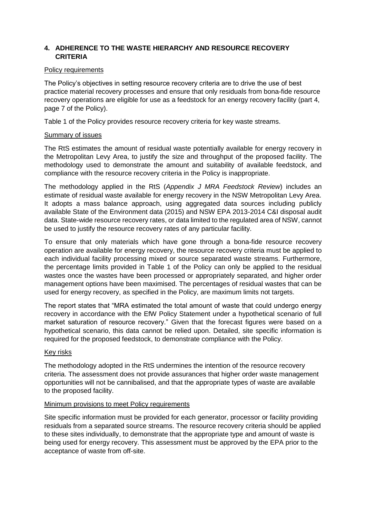# **4. ADHERENCE TO THE WASTE HIERARCHY AND RESOURCE RECOVERY CRITERIA**

#### Policy requirements

The Policy's objectives in setting resource recovery criteria are to drive the use of best practice material recovery processes and ensure that only residuals from bona-fide resource recovery operations are eligible for use as a feedstock for an energy recovery facility (part 4, page 7 of the Policy).

Table 1 of the Policy provides resource recovery criteria for key waste streams.

# Summary of issues

The RtS estimates the amount of residual waste potentially available for energy recovery in the Metropolitan Levy Area, to justify the size and throughput of the proposed facility. The methodology used to demonstrate the amount and suitability of available feedstock, and compliance with the resource recovery criteria in the Policy is inappropriate.

The methodology applied in the RtS (*Appendix J MRA Feedstock Review*) includes an estimate of residual waste available for energy recovery in the NSW Metropolitan Levy Area. It adopts a mass balance approach, using aggregated data sources including publicly available State of the Environment data (2015) and NSW EPA 2013-2014 C&I disposal audit data. State-wide resource recovery rates, or data limited to the regulated area of NSW, cannot be used to justify the resource recovery rates of any particular facility.

To ensure that only materials which have gone through a bona-fide resource recovery operation are available for energy recovery, the resource recovery criteria must be applied to each individual facility processing mixed or source separated waste streams. Furthermore, the percentage limits provided in Table 1 of the Policy can only be applied to the residual wastes once the wastes have been processed or appropriately separated, and higher order management options have been maximised. The percentages of residual wastes that can be used for energy recovery, as specified in the Policy, are maximum limits not targets.

The report states that "MRA estimated the total amount of waste that could undergo energy recovery in accordance with the EfW Policy Statement under a hypothetical scenario of full market saturation of resource recovery." Given that the forecast figures were based on a hypothetical scenario, this data cannot be relied upon. Detailed, site specific information is required for the proposed feedstock, to demonstrate compliance with the Policy.

### Key risks

The methodology adopted in the RtS undermines the intention of the resource recovery criteria. The assessment does not provide assurances that higher order waste management opportunities will not be cannibalised, and that the appropriate types of waste are available to the proposed facility.

### Minimum provisions to meet Policy requirements

Site specific information must be provided for each generator, processor or facility providing residuals from a separated source streams. The resource recovery criteria should be applied to these sites individually, to demonstrate that the appropriate type and amount of waste is being used for energy recovery. This assessment must be approved by the EPA prior to the acceptance of waste from off-site.